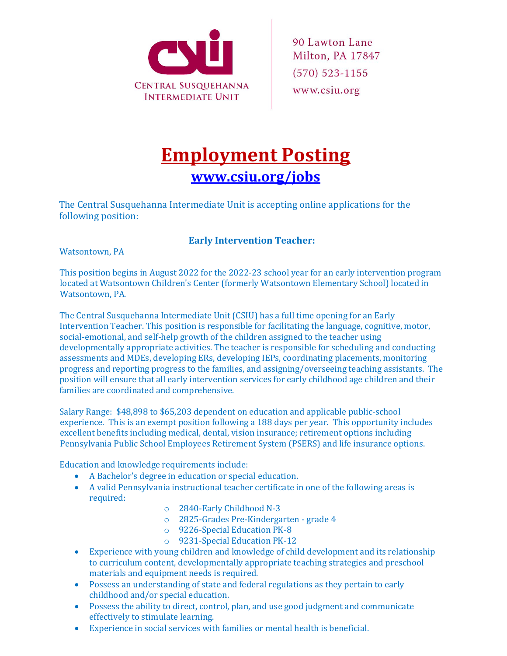

## **Employment Posting [www.csiu.org/jobs](http://www.csiu.org/jobs)**

The Central Susquehanna Intermediate Unit is accepting online applications for the following position:

## **Early Intervention Teacher:**

Watsontown, PA

This position begins in August 2022 for the 2022-23 school year for an early intervention program located at Watsontown Children's Center (formerly Watsontown Elementary School) located in Watsontown, PA.

The Central Susquehanna Intermediate Unit (CSIU) has a full time opening for an Early Intervention Teacher. This position is responsible for facilitating the language, cognitive, motor, social-emotional, and self-help growth of the children assigned to the teacher using developmentally appropriate activities. The teacher is responsible for scheduling and conducting assessments and MDEs, developing ERs, developing IEPs, coordinating placements, monitoring progress and reporting progress to the families, and assigning/overseeing teaching assistants. The position will ensure that all early intervention services for early childhood age children and their families are coordinated and comprehensive.

Salary Range: \$48,898 to \$65,203 dependent on education and applicable public-school experience. This is an exempt position following a 188 days per year. This opportunity includes excellent benefits including medical, dental, vision insurance; retirement options including Pennsylvania Public School Employees Retirement System (PSERS) and life insurance options.

Education and knowledge requirements include:

- A Bachelor's degree in education or special education.
- A valid Pennsylvania instructional teacher certificate in one of the following areas is required:
	- o 2840-Early Childhood N-3
	- o 2825-Grades Pre-Kindergarten grade 4
	- o 9226-Special Education PK-8
	- o 9231-Special Education PK-12
- Experience with young children and knowledge of child development and its relationship to curriculum content, developmentally appropriate teaching strategies and preschool materials and equipment needs is required.
- Possess an understanding of state and federal regulations as they pertain to early childhood and/or special education.
- Possess the ability to direct, control, plan, and use good judgment and communicate effectively to stimulate learning.
- Experience in social services with families or mental health is beneficial.